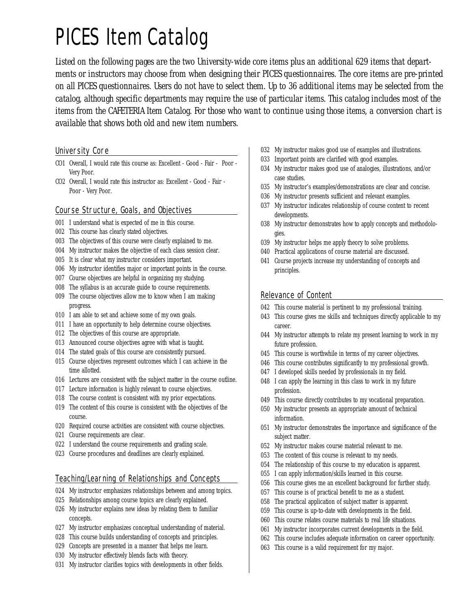# PICES Item Catalog

*Listed on the following pages are the two University-wide core items plus an additional 629 items that departments or instructors may choose from when designing their PICES questionnaires. The core items are pre-printed on all PICES questionnaires. Users do not have to select them. Up to 36 additional items may be selected from the catalog, although specific departments may require the use of particular items. This catalog includes most of the items from the CAFETERIA Item Catalog. For those who want to continue using those items, a conversion chart is available that shows both old and new item numbers.*

#### University Core

- CO1 Overall, I would rate this course as: Excellent Good Fair Poor Very Poor.
- CO2 Overall, I would rate this instructor as: Excellent Good Fair Poor - Very Poor.

## Course Structure, Goals, and Objectives

- 001 I understand what is expected of me in this course.
- 002 This course has clearly stated objectives.
- 003 The objectives of this course were clearly explained to me.
- 004 My instructor makes the objective of each class session clear.
- 005 It is clear what my instructor considers important.
- 006 My instructor identifies major or important points in the course.
- 007 Course objectives are helpful in organizing my studying.
- 008 The syllabus is an accurate guide to course requirements.
- 009 The course objectives allow me to know when I am making progress.
- 010 I am able to set and achieve some of my own goals.
- 011 I have an opportunity to help determine course objectives.
- 012 The objectives of this course are appropriate.
- 013 Announced course objectives agree with what is taught.
- 014 The stated goals of this course are consistently pursued.
- 015 Course objectives represent outcomes which I can achieve in the time allotted.
- 016 Lectures are consistent with the subject matter in the course outline.
- 017 Lecture information is highly relevant to course objectives.
- 018 The course content is consistent with my prior expectations.
- 019 The content of this course is consistent with the objectives of the course.
- 020 Required course activities are consistent with course objectives.
- 021 Course requirements are clear.
- 022 I understand the course requirements and grading scale.
- 023 Course procedures and deadlines are clearly explained.

## Teaching/Learning of Relationships and Concepts

- 024 My instructor emphasizes relationships between and among topics.
- 025 Relationships among course topics are clearly explained.
- 026 My instructor explains new ideas by relating them to familiar concepts.
- 027 My instructor emphasizes conceptual understanding of material.
- 028 This course builds understanding of concepts and principles.
- 029 Concepts are presented in a manner that helps me learn.
- 030 My instructor effectively blends facts with theory.
- 031 My instructor clarifies topics with developments in other fields.
- 032 My instructor makes good use of examples and illustrations.
- 033 Important points are clarified with good examples.
- 034 My instructor makes good use of analogies, illustrations, and/or case studies.
- 035 My instructor's examples/demonstrations are clear and concise.
- 036 My instructor presents sufficient and relevant examples.
- 037 My instructor indicates relationship of course content to recent developments.
- 038 My instructor demonstrates how to apply concepts and methodologies.
- 039 My instructor helps me apply theory to solve problems.
- 040 Practical applications of course material are discussed.
- 041 Course projects increase my understanding of concepts and principles.

## Relevance of Content

- 042 This course material is pertinent to my professional training.
- 043 This course gives me skills and techniques directly applicable to my career.
- 044 My instructor attempts to relate my present learning to work in my future profession.
- 045 This course is worthwhile in terms of my career objectives.
- 046 This course contributes significantly to my professional growth.
- 047 I developed skills needed by professionals in my field.
- 048 I can apply the learning in this class to work in my future profession.
- 049 This course directly contributes to my vocational preparation.
- 050 My instructor presents an appropriate amount of technical information.
- 051 My instructor demonstrates the importance and significance of the subject matter.
- 052 My instructor makes course material relevant to me.
- 053 The content of this course is relevant to my needs.
- 054 The relationship of this course to my education is apparent.
- 055 I can apply information/skills learned in this course.
- 056 This course gives me an excellent background for further study.
- 057 This course is of practical benefit to me as a student.
- 058 The practical application of subject matter is apparent.
- 059 This course is up-to-date with developments in the field.
- 060 This course relates course materials to real life situations.
- 061 My instructor incorporates current developments in the field.
- 062 This course includes adequate information on career opportunity.
- 063 This course is a valid requirement for my major.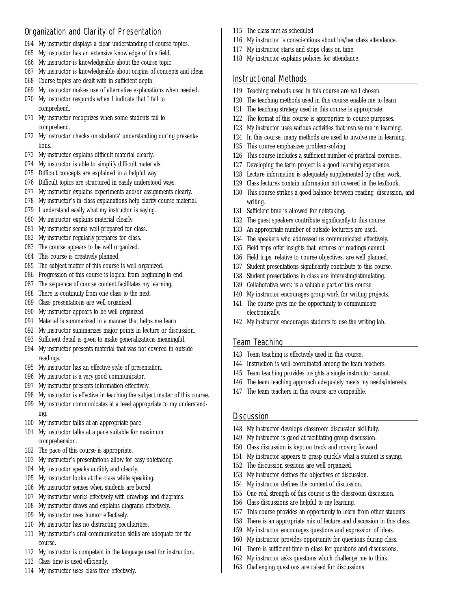## Organization and Clarity of Presentation

- 064 My instructor displays a clear understanding of course topics.
- 065 My instructor has an extensive knowledge of this field.
- 066 My instructor is knowledgeable about the course topic.
- 067 My instructor is knowledgeable about origins of concepts and ideas.
- 068 Course topics are dealt with in sufficient depth.
- 069 My instructor makes use of alternative explanations when needed.
- 070 My instructor responds when I indicate that I fail to comprehend.
- 071 My instructor recognizes when some students fail to comprehend.
- 072 My instructor checks on students' understanding during presentations.
- 073 My instructor explains difficult material clearly.
- 074 My instructor is able to simplify difficult materials.
- 075 Difficult concepts are explained in a helpful way.
- 076 Difficult topics are structured in easily understood ways.
- 077 My instructor explains experiments and/or assignments clearly.
- 078 My instructor's in-class explanations help clarify course material.
- 079 I understand easily what my instructor is saying.
- 080 My instructor explains material clearly.
- 081 My instructor seems well-prepared for class.
- 082 My instructor regularly prepares for class.
- 083 The course appears to be well organized.
- 084 This course is creatively planned.
- 085 The subject matter of this course is well organized.
- 086 Progression of this course is logical from beginning to end.
- 087 The sequence of course content facilitates my learning.
- 088 There is continuity from one class to the next.
- 089 Class presentations are well organized.
- 090 My instructor appears to be well organized.
- 091 Material is summarized in a manner that helps me learn.
- 092 My instructor summarizes major points in lecture or discussion.
- 093 Sufficient detail is given to make generalizations meaningful.
- 094 My instructor presents material that was not covered in outside readings.
- 095 My instructor has an effective style of presentation.
- 096 My instructor is a very good communicator.
- 097 My instructor presents information effectively.
- 098 My instructor is effective in teaching the subject matter of this course.
- 099 My instructor communicates at a level appropriate to my understanding.
- 100 My instructor talks at an appropriate pace.
- 101 My instructor talks at a pace suitable for maximum comprehension.
- 102 The pace of this course is appropriate.
- 103 My instructor's presentations allow for easy notetaking.
- 104 My instructor speaks audibly and clearly.
- 105 My instructor looks at the class while speaking.
- 106 My instructor senses when students are bored.
- 107 My instructor works effectively with drawings and diagrams.
- 108 My instructor draws and explains diagrams effectively.
- 109 My instructor uses humor effectively.
- 110 My instructor has no distracting peculiarities.
- 111 My instructor's oral communication skills are adequate for the course.
- 112 My instructor is competent in the language used for instruction.
- 113 Class time is used efficiently.
- 114 My instructor uses class time effectively.
- 115 The class met as scheduled.
- 116 My instructor is conscientious about his/her class attendance.
- 117 My instructor starts and stops class on time.
- 118 My instructor explains policies for attendance.

## Instructional Methods

- 119 Teaching methods used in this course are well chosen.
- 120 The teaching methods used in this course enable me to learn.
- 121 The teaching strategy used in this course is appropriate.
- 122 The format of this course is appropriate to course purposes.
- 123 My instructor uses various activities that involve me in learning.
- 124 In this course, many methods are used to involve me in learning.
- 125 This course emphasizes problem-solving.
- 126 This course includes a sufficient number of practical exercises.
- 127 Developing the term project is a good learning experience.
- 128 Lecture information is adequately supplemented by other work.
- 129 Class lectures contain information not covered in the textbook.
- 130 This course strikes a good balance between reading, discussion, and writing.
- 131 Sufficient time is allowed for notetaking.
- 132 The guest speakers contribute significantly to this course.
- 133 An appropriate number of outside lecturers are used.
- 134 The speakers who addressed us communicated effectively.
- 135 Field trips offer insights that lectures or readings cannot.
- 136 Field trips, relative to course objectives, are well planned.
- 137 Student presentations significantly contribute to this course.
- 138 Student presentations in class are interesting/stimulating.
- 139 Collaborative work is a valuable part of this course.
- 140 My instructor encourages group work for writing projects.
- 141 The course gives me the opportunity to communicate electronically.
- 142 My instructor encourages students to use the writing lab.

# Team Teaching

- 143 Team teaching is effectively used in this course.
- 144 Instruction is well-coordinated among the team teachers.
- 145 Team teaching provides insights a single instructor cannot.
- 146 The team teaching approach adequately meets my needs/interests.
- 147 The team teachers in this course are compatible.

# **Discussion**

- 148 My instructor develops classroom discussion skillfully.
- 149 My instructor is good at facilitating group discussion.
- 150 Class discussion is kept on track and moving forward.
- 151 My instructor appears to grasp quickly what a student is saying.
- 152 The discussion sessions are well organized.
- 153 My instructor defines the objectives of discussion.
- 154 My instructor defines the content of discussion.
- 155 One real strength of this course is the classroom discussion.
- 156 Class discussions are helpful to my learning.
- 157 This course provides an opportunity to learn from other students.
- 158 There is an appropriate mix of lecture and discussion in this class.
- 159 My instructor encourages questions and expression of ideas. 160 My instructor provides opportunity for questions during class.

161 There is sufficient time in class for questions and discussions. 162 My instructor asks questions which challenge me to think. 163 Challenging questions are raised for discussions.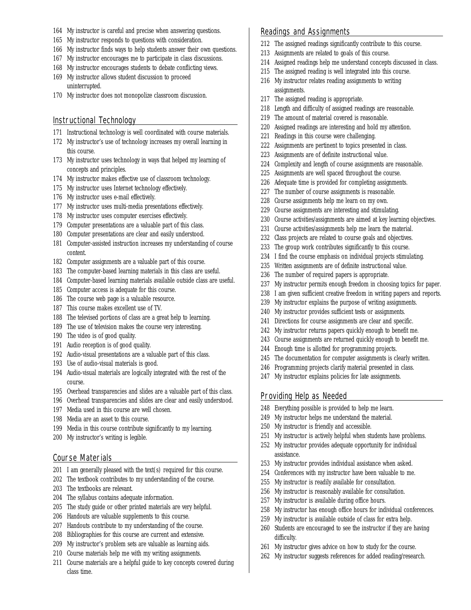- 164 My instructor is careful and precise when answering questions.
- 165 My instructor responds to questions with consideration.
- 166 My instructor finds ways to help students answer their own questions.
- 167 My instructor encourages me to participate in class discussions.
- 168 My instructor encourages students to debate conflicting views.
- 169 My instructor allows student discussion to proceed uninterrupted.
- 170 My instructor does not monopolize classroom discussion.

#### Instructional Technology

- 171 Instructional technology is well coordinated with course materials.
- 172 My instructor's use of technology increases my overall learning in this course.
- 173 My instructor uses technology in ways that helped my learning of concepts and principles.
- 174 My instructor makes effective use of classroom technology.
- 175 My instructor uses Internet technology effectively.
- 176 My instructor uses e-mail effectively.
- 177 My instructor uses multi-media presentations effectively.
- 178 My instructor uses computer exercises effectively.
- 179 Computer presentations are a valuable part of this class.
- 180 Computer presentations are clear and easily understood.
- 181 Computer-assisted instruction increases my understanding of course content.
- 182 Computer assignments are a valuable part of this course.
- 183 The computer-based learning materials in this class are useful.
- 184 Computer-based learning materials available outside class are useful.
- 185 Computer access is adequate for this course.
- 186 The course web page is a valuable resource.
- 187 This course makes excellent use of TV.
- 188 The televised portions of class are a great help to learning.
- 189 The use of television makes the course very interesting.
- 190 The video is of good quality.
- 191 Audio reception is of good quality.
- 192 Audio-visual presentations are a valuable part of this class.
- 193 Use of audio-visual materials is good.
- 194 Audio-visual materials are logically integrated with the rest of the course.
- 195 Overhead transparencies and slides are a valuable part of this class.
- 196 Overhead transparencies and slides are clear and easily understood.
- 197 Media used in this course are well chosen.
- 198 Media are an asset to this course.
- 199 Media in this course contribute significantly to my learning.
- 200 My instructor's writing is legible.

#### Course Materials

- $201$  I am generally pleased with the text(s) required for this course.
- 202 The textbook contributes to my understanding of the course.
- 203 The textbooks are relevant.
- 204 The syllabus contains adequate information.
- 205 The study guide or other printed materials are very helpful.
- 206 Handouts are valuable supplements to this course.
- 207 Handouts contribute to my understanding of the course.
- 208 Bibliographies for this course are current and extensive.
- 209 My instructor's problem sets are valuable as learning aids.
- 210 Course materials help me with my writing assignments.
- 211 Course materials are a helpful guide to key concepts covered during class time.

#### Readings and Assignments

- 212 The assigned readings significantly contribute to this course.
- 213 Assignments are related to goals of this course.
- 214 Assigned readings help me understand concepts discussed in class.
- 215 The assigned reading is well integrated into this course.
- 216 My instructor relates reading assignments to writing assignments.
- 217 The assigned reading is appropriate.
- 218 Length and difficulty of assigned readings are reasonable.
- 219 The amount of material covered is reasonable.
- 220 Assigned readings are interesting and hold my attention.
- 221 Readings in this course were challenging.
- 222 Assignments are pertinent to topics presented in class.
- 223 Assignments are of definite instructional value.
- 224 Complexity and length of course assignments are reasonable.
- 225 Assignments are well spaced throughout the course.
- 226 Adequate time is provided for completing assignments.
- 227 The number of course assignments is reasonable.
- 228 Course assignments help me learn on my own.
- 229 Course assignments are interesting and stimulating.
- 230 Course activities/assignments are aimed at key learning objectives.
- 231 Course activities/assignments help me learn the material.
- 232 Class projects are related to course goals and objectives.
- 233 The group work contributes significantly to this course.
- 234 I find the course emphasis on individual projects stimulating.
- 235 Written assignments are of definite instructional value.
- 236 The number of required papers is appropriate.
- 237 My instructor permits enough freedom in choosing topics for paper.
- 238 I am given sufficient creative freedom in writing papers and reports.
- 239 My instructor explains the purpose of writing assignments.
- 240 My instructor provides sufficient tests or assignments.
- 241 Directions for course assignments are clear and specific.
- 242 My instructor returns papers quickly enough to benefit me.
- 243 Course assignments are returned quickly enough to benefit me.
- 244 Enough time is allotted for programming projects.
- 245 The documentation for computer assignments is clearly written.
- 246 Programming projects clarify material presented in class.
- 247 My instructor explains policies for late assignments.

#### Providing Help as Needed

- 248 Everything possible is provided to help me learn.
- 249 My instructor helps me understand the material.
- 250 My instructor is friendly and accessible.
- 251 My instructor is actively helpful when students have problems.
- 252 My instructor provides adequate opportunity for individual assistance.
- 253 My instructor provides individual assistance when asked.
- 254 Conferences with my instructor have been valuable to me.
- 255 My instructor is readily available for consultation.
- 256 My instructor is reasonably available for consultation.
- 257 My instructor is available during office hours.

difficulty.

258 My instructor has enough office hours for individual conferences.

260 Students are encouraged to see the instructor if they are having

259 My instructor is available outside of class for extra help.

261 My instructor gives advice on how to study for the course. 262 My instructor suggests references for added reading/research.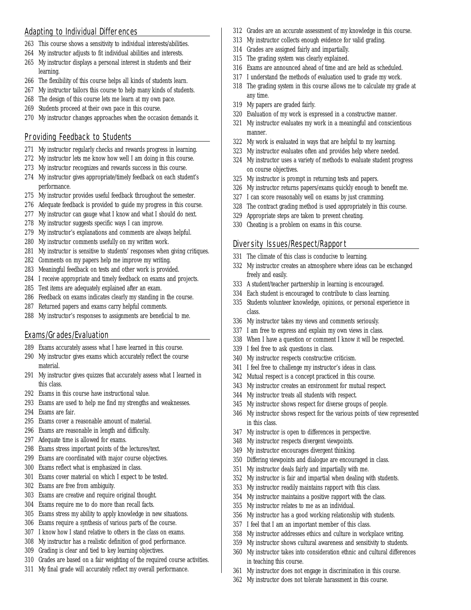## Adapting to Individual Differences

- 263 This course shows a sensitivity to individual interests/abilities.
- 264 My instructor adjusts to fit individual abilities and interests.
- 265 My instructor displays a personal interest in students and their learning.
- 266 The flexibility of this course helps all kinds of students learn.
- 267 My instructor tailors this course to help many kinds of students.
- 268 The design of this course lets me learn at my own pace.
- 269 Students proceed at their own pace in this course.
- 270 My instructor changes approaches when the occasion demands it.

## Providing Feedback to Students

- 271 My instructor regularly checks and rewards progress in learning.
- 272 My instructor lets me know how well I am doing in this course.
- 273 My instructor recognizes and rewards success in this course.
- 274 My instructor gives appropriate/timely feedback on each student's performance.
- 275 My instructor provides useful feedback throughout the semester.
- 276 Adequate feedback is provided to guide my progress in this course.
- 277 My instructor can gauge what I know and what I should do next.
- 278 My instructor suggests specific ways I can improve.
- 279 My instructor's explanations and comments are always helpful.
- 280 My instructor comments usefully on my written work.
- 281 My instructor is sensitive to students' responses when giving critiques.
- 282 Comments on my papers help me improve my writing.
- 283 Meaningful feedback on tests and other work is provided.
- 284 I receive appropriate and timely feedback on exams and projects.
- 285 Test items are adequately explained after an exam.
- 286 Feedback on exams indicates clearly my standing in the course.
- 287 Returned papers and exams carry helpful comments.
- 288 My instructor's responses to assignments are beneficial to me.

## Exams/Grades/Evaluation

- 289 Exams accurately assess what I have learned in this course.
- 290 My instructor gives exams which accurately reflect the course material.
- 291 My instructor gives quizzes that accurately assess what I learned in this class.
- 292 Exams in this course have instructional value.
- 293 Exams are used to help me find my strengths and weaknesses.
- 294 Exams are fair.
- 295 Exams cover a reasonable amount of material.
- 296 Exams are reasonable in length and difficulty.
- 297 Adequate time is allowed for exams.
- 298 Exams stress important points of the lectures/text.
- 299 Exams are coordinated with major course objectives.
- 300 Exams reflect what is emphasized in class.
- 301 Exams cover material on which I expect to be tested.
- 302 Exams are free from ambiguity.
- 303 Exams are creative and require original thought.
- 304 Exams require me to do more than recall facts.
- 305 Exams stress my ability to apply knowledge in new situations.
- 306 Exams require a synthesis of various parts of the course.
- 307 I know how I stand relative to others in the class on exams.
- 308 My instructor has a realistic definition of good performance.
- 309 Grading is clear and tied to key learning objectives.
- 310 Grades are based on a fair weighting of the required course activities.
- 311 My final grade will accurately reflect my overall performance.
- 312 Grades are an accurate assessment of my knowledge in this course.
- 313 My instructor collects enough evidence for valid grading.
- 314 Grades are assigned fairly and impartially.
- 315 The grading system was clearly explained.
- 316 Exams are announced ahead of time and are held as scheduled.
- 317 I understand the methods of evaluation used to grade my work.
- 318 The grading system in this course allows me to calculate my grade at any time.
- 319 My papers are graded fairly.
- 320 Evaluation of my work is expressed in a constructive manner.
- 321 My instructor evaluates my work in a meaningful and conscientious manner.
- 322 My work is evaluated in ways that are helpful to my learning.
- 323 My instructor evaluates often and provides help where needed.
- 324 My instructor uses a variety of methods to evaluate student progress on course objectives.
- 325 My instructor is prompt in returning tests and papers.
- 326 My instructor returns papers/exams quickly enough to benefit me.
- 327 I can score reasonably well on exams by just cramming.
- 328 The contract grading method is used appropriately in this course.
- 329 Appropriate steps are taken to prevent cheating.
- 330 Cheating is a problem on exams in this course.

## Diversity Issues/Respect/Rapport

- 331 The climate of this class is conducive to learning.
- 332 My instructor creates an atmosphere where ideas can be exchanged freely and easily.
- 333 A student/teacher partnership in learning is encouraged.
- 334 Each student is encouraged to contribute to class learning.
- 335 Students volunteer knowledge, opinions, or personal experience in class.
- 336 My instructor takes my views and comments seriously.
- 337 I am free to express and explain my own views in class.
- 338 When I have a question or comment I know it will be respected.
- 339 I feel free to ask questions in class.
- 340 My instructor respects constructive criticism.
- 341 I feel free to challenge my instructor's ideas in class.
- 342 Mutual respect is a concept practiced in this course.
- 343 My instructor creates an environment for mutual respect.
- 344 My instructor treats all students with respect.
- 345 My instructor shows respect for diverse groups of people.
- 346 My instructor shows respect for the various points of view represented in this class.
- 347 My instructor is open to differences in perspective.
- 348 My instructor respects divergent viewpoints.
- 349 My instructor encourages divergent thinking.
- 350 Differing viewpoints and dialogue are encouraged in class.
- 351 My instructor deals fairly and impartially with me.
- 352 My instructor is fair and impartial when dealing with students.
- 353 My instructor readily maintains rapport with this class.
- 354 My instructor maintains a positive rapport with the class.
- 355 My instructor relates to me as an individual.

in teaching this course.

- 356 My instructor has a good working relationship with students.
- 357 I feel that I am an important member of this class.
- 358 My instructor addresses ethics and culture in workplace writing. 359 My instructor shows cultural awareness and sensitivity to students.

361 My instructor does not engage in discrimination in this course. 362 My instructor does not tolerate harassment in this course.

360 My instructor takes into consideration ethnic and cultural differences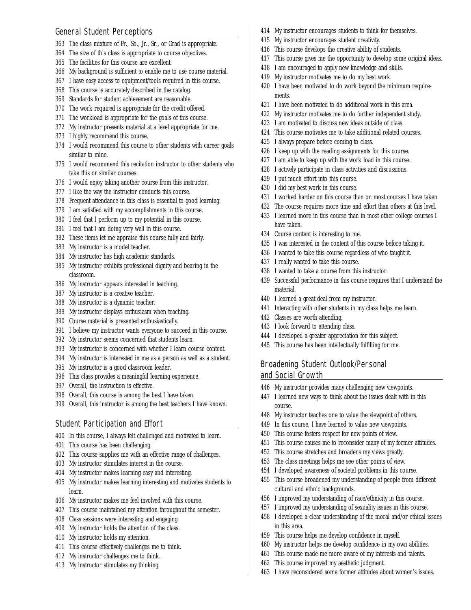## General Student Perceptions

- 363 The class mixture of Fr., So., Jr., Sr., or Grad is appropriate.
- 364 The size of this class is appropriate to course objectives.
- 365 The facilities for this course are excellent.
- 366 My background is sufficient to enable me to use course material.
- 367 I have easy access to equipment/tools required in this course.
- 368 This course is accurately described in the catalog.
- 369 Standards for student achievement are reasonable.
- 370 The work required is appropriate for the credit offered.
- 371 The workload is appropriate for the goals of this course.
- 372 My instructor presents material at a level appropriate for me.
- 373 I highly recommend this course.
- 374 I would recommend this course to other students with career goals similar to mine.
- 375 I would recommend this recitation instructor to other students who take this or similar courses.
- 376 I would enjoy taking another course from this instructor.
- 377 I like the way the instructor conducts this course.
- 378 Frequent attendance in this class is essential to good learning.
- 379 I am satisfied with my accomplishments in this course.
- 380 I feel that I perform up to my potential in this course.
- 381 I feel that I am doing very well in this course.
- 382 These items let me appraise this course fully and fairly.
- 383 My instructor is a model teacher.
- 384 My instructor has high academic standards.
- 385 My instructor exhibits professional dignity and bearing in the classroom.
- 386 My instructor appears interested in teaching.
- 387 My instructor is a creative teacher.
- 388 My instructor is a dynamic teacher.
- 389 My instructor displays enthusiasm when teaching.
- 390 Course material is presented enthusiastically.
- 391 I believe my instructor wants everyone to succeed in this course.
- 392 My instructor seems concerned that students learn.
- 393 My instructor is concerned with whether I learn course content.
- 394 My instructor is interested in me as a person as well as a student.
- 395 My instructor is a good classroom leader.
- 396 This class provides a meaningful learning experience.
- 397 Overall, the instruction is effective.
- 398 Overall, this course is among the best I have taken.
- 399 Overall, this instructor is among the best teachers I have known.

#### Student Participation and Effort

- 400 In this course, I always felt challenged and motivated to learn.
- 401 This course has been challenging.
- 402 This course supplies me with an effective range of challenges.
- 403 My instructor stimulates interest in the course.
- 404 My instructor makes learning easy and interesting.
- 405 My instructor makes learning interesting and motivates students to learn.
- 406 My instructor makes me feel involved with this course.
- 407 This course maintained my attention throughout the semester.
- 408 Class sessions were interesting and engaging.
- 409 My instructor holds the attention of the class.
- 410 My instructor holds my attention.
- 411 This course effectively challenges me to think.
- 412 My instructor challenges me to think.
- 413 My instructor stimulates my thinking.
- 414 My instructor encourages students to think for themselves.
- 415 My instructor encourages student creativity.
- 416 This course develops the creative ability of students.
- 417 This course gives me the opportunity to develop some original ideas.
- 418 I am encouraged to apply new knowledge and skills.
- 419 My instructor motivates me to do my best work.
- 420 I have been motivated to do work beyond the minimum requirements.
- 421 I have been motivated to do additional work in this area.
- 422 My instructor motivates me to do further independent study.
- 423 I am motivated to discuss new ideas outside of class.
- 424 This course motivates me to take additional related courses.
- 425 I always prepare before coming to class.
- 426 I keep up with the reading assignments for this course.
- 427 I am able to keep up with the work load in this course.
- 428 I actively participate in class activities and discussions.
- 429 I put much effort into this course.
- 430 I did my best work in this course.
- 431 I worked harder on this course than on most courses I have taken.
- 432 The course requires more time and effort than others at this level.
- 433 I learned more in this course than in most other college courses I have taken.
- 434 Course content is interesting to me.
- 435 I was interested in the content of this course before taking it.
- 436 I wanted to take this course regardless of who taught it.
- 437 I really wanted to take this course.
- 438 I wanted to take a course from this instructor.
- 439 Successful performance in this course requires that I understand the material.
- 440 I learned a great deal from my instructor.
- 441 Interacting with other students in my class helps me learn.
- 442 Classes are worth attending.
- 443 I look forward to attending class.
- 444 I developed a greater appreciation for this subject.
- 445 This course has been intellectually fulfilling for me.

## Broadening Student Outlook/Personal and Social Growth

- 446 My instructor provides many challenging new viewpoints.
- 447 I learned new ways to think about the issues dealt with in this course.
- 448 My instructor teaches one to value the viewpoint of others.
- 449 In this course, I have learned to value new viewpoints.
- 450 This course fosters respect for new points of view.
- 451 This course causes me to reconsider many of my former attitudes.
- 452 This course stretches and broadens my views greatly.
- 453 The class meetings helps me see other points of view.
- 454 I developed awareness of societal problems in this course.
- 455 This course broadened my understanding of people from different cultural and ethnic backgrounds.
- 456 I improved my understanding of race/ethnicity in this course.
- 457 I improved my understanding of sexuality issues in this course.

460 My instructor helps me develop confidence in my own abilities. 461 This course made me more aware of my interests and talents.

463 I have reconsidered some former attitudes about women's issues.

- 458 I developed a clear understanding of the moral and/or ethical issues in this area.
- 459 This course helps me develop confidence in myself.

462 This course improved my aesthetic judgment.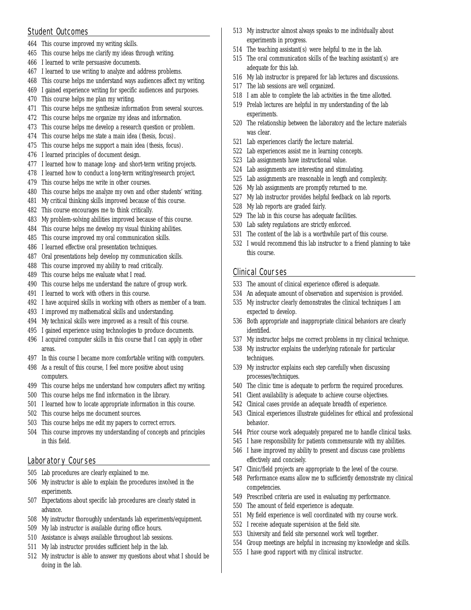## Student Outcomes

- 464 This course improved my writing skills.
- 465 This course helps me clarify my ideas through writing.
- 466 I learned to write persuasive documents.
- 467 I learned to use writing to analyze and address problems.
- 468 This course helps me understand ways audiences affect my writing.
- 469 I gained experience writing for specific audiences and purposes.
- 470 This course helps me plan my writing.
- 471 This course helps me synthesize information from several sources.
- 472 This course helps me organize my ideas and information.
- 473 This course helps me develop a research question or problem.
- 474 This course helps me state a main idea (thesis, focus).
- 475 This course helps me support a main idea (thesis, focus).
- 476 I learned principles of document design.
- 477 I learned how to manage long- and short-term writing projects.
- 478 I learned how to conduct a long-term writing/research project.
- 479 This course helps me write in other courses.
- 480 This course helps me analyze my own and other students' writing.
- 481 My critical thinking skills improved because of this course.
- 482 This course encourages me to think critically.
- 483 My problem-solving abilities improved because of this course.
- 484 This course helps me develop my visual thinking abilities.
- 485 This course improved my oral communication skills.
- 486 I learned effective oral presentation techniques.
- 487 Oral presentations help develop my communication skills.
- 488 This course improved my ability to read critically.
- 489 This course helps me evaluate what I read.
- 490 This course helps me understand the nature of group work.
- 491 I learned to work with others in this course.
- 492 I have acquired skills in working with others as member of a team.
- 493 I improved my mathematical skills and understanding.
- 494 My technical skills were improved as a result of this course.
- 495 I gained experience using technologies to produce documents.
- 496 I acquired computer skills in this course that I can apply in other areas.
- 497 In this course I became more comfortable writing with computers.
- 498 As a result of this course, I feel more positive about using computers.
- 499 This course helps me understand how computers affect my writing.
- 500 This course helps me find information in the library.
- 501 I learned how to locate appropriate information in this course.
- 502 This course helps me document sources.
- 503 This course helps me edit my papers to correct errors.
- 504 This course improves my understanding of concepts and principles in this field.

## Laboratory Courses

- 505 Lab procedures are clearly explained to me.
- 506 My instructor is able to explain the procedures involved in the experiments.
- 507 Expectations about specific lab procedures are clearly stated in advance.
- 508 My instructor thoroughly understands lab experiments/equipment.
- 509 My lab instructor is available during office hours.
- 510 Assistance is always available throughout lab sessions.
- 511 My lab instructor provides sufficient help in the lab.
- 512 My instructor is able to answer my questions about what I should be doing in the lab.
- 513 My instructor almost always speaks to me individually about experiments in progress.
- 514 The teaching assistant(s) were helpful to me in the lab.
- 515 The oral communication skills of the teaching assistant(s) are adequate for this lab.
- 516 My lab instructor is prepared for lab lectures and discussions.
- 517 The lab sessions are well organized.
- 518 I am able to complete the lab activities in the time allotted.
- 519 Prelab lectures are helpful in my understanding of the lab experiments.
- 520 The relationship between the laboratory and the lecture materials was clear.
- 521 Lab experiences clarify the lecture material.
- 522 Lab experiences assist me in learning concepts.
- 523 Lab assignments have instructional value.
- 524 Lab assignments are interesting and stimulating.
- 525 Lab assignments are reasonable in length and complexity.
- 526 My lab assignments are promptly returned to me.
- 527 My lab instructor provides helpful feedback on lab reports.
- 528 My lab reports are graded fairly.
- 529 The lab in this course has adequate facilities.
- 530 Lab safety regulations are strictly enforced.
- 531 The content of the lab is a worthwhile part of this course.
- 532 I would recommend this lab instructor to a friend planning to take this course.

## Clinical Courses

- 533 The amount of clinical experience offered is adequate.
- 534 An adequate amount of observation and supervision is provided.
- 535 My instructor clearly demonstrates the clinical techniques I am expected to develop.
- 536 Both appropriate and inappropriate clinical behaviors are clearly identified.
- 537 My instructor helps me correct problems in my clinical technique.
- 538 My instructor explains the underlying rationale for particular techniques.
- 539 My instructor explains each step carefully when discussing processes/techniques.
- 540 The clinic time is adequate to perform the required procedures.
- 541 Client availability is adequate to achieve course objectives.
- 542 Clinical cases provide an adequate breadth of experience.
- 543 Clinical experiences illustrate guidelines for ethical and professional behavior.
- 544 Prior course work adequately prepared me to handle clinical tasks.
- 545 I have responsibility for patients commensurate with my abilities.
- 546 I have improved my ability to present and discuss case problems effectively and concisely.
- 547 Clinic/field projects are appropriate to the level of the course.
- 548 Performance exams allow me to sufficiently demonstrate my clinical competencies.
- 549 Prescribed criteria are used in evaluating my performance.
- 550 The amount of field experience is adequate.
- 551 My field experience is well coordinated with my course work.
- 552 I receive adequate supervision at the field site.
- 553 University and field site personnel work well together.
- 554 Group meetings are helpful in increasing my knowledge and skills.
- 555 I have good rapport with my clinical instructor.